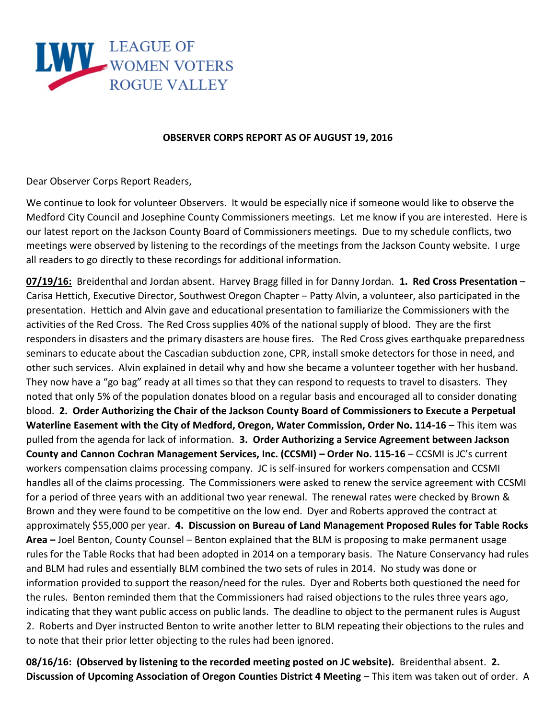

## **OBSERVER CORPS REPORT AS OF AUGUST 19, 2016**

Dear Observer Corps Report Readers,

We continue to look for volunteer Observers. It would be especially nice if someone would like to observe the Medford City Council and Josephine County Commissioners meetings. Let me know if you are interested. Here is our latest report on the Jackson County Board of Commissioners meetings. Due to my schedule conflicts, two meetings were observed by listening to the recordings of the meetings from the Jackson County website. I urge all readers to go directly to these recordings for additional information.

**07/19/16:** Breidenthal and Jordan absent. Harvey Bragg filled in for Danny Jordan. **1. Red Cross Presentation** – Carisa Hettich, Executive Director, Southwest Oregon Chapter – Patty Alvin, a volunteer, also participated in the presentation. Hettich and Alvin gave and educational presentation to familiarize the Commissioners with the activities of the Red Cross. The Red Cross supplies 40% of the national supply of blood. They are the first responders in disasters and the primary disasters are house fires. The Red Cross gives earthquake preparedness seminars to educate about the Cascadian subduction zone, CPR, install smoke detectors for those in need, and other such services. Alvin explained in detail why and how she became a volunteer together with her husband. They now have a "go bag" ready at all times so that they can respond to requests to travel to disasters. They noted that only 5% of the population donates blood on a regular basis and encouraged all to consider donating blood. **2. Order Authorizing the Chair of the Jackson County Board of Commissioners to Execute a Perpetual Waterline Easement with the City of Medford, Oregon, Water Commission, Order No. 114-16** – This item was pulled from the agenda for lack of information. **3. Order Authorizing a Service Agreement between Jackson County and Cannon Cochran Management Services, Inc. (CCSMI) – Order No. 115-16** – CCSMI is JC's current workers compensation claims processing company. JC is self-insured for workers compensation and CCSMI handles all of the claims processing. The Commissioners were asked to renew the service agreement with CCSMI for a period of three years with an additional two year renewal. The renewal rates were checked by Brown & Brown and they were found to be competitive on the low end. Dyer and Roberts approved the contract at approximately \$55,000 per year. **4. Discussion on Bureau of Land Management Proposed Rules for Table Rocks Area –** Joel Benton, County Counsel – Benton explained that the BLM is proposing to make permanent usage rules for the Table Rocks that had been adopted in 2014 on a temporary basis. The Nature Conservancy had rules and BLM had rules and essentially BLM combined the two sets of rules in 2014. No study was done or information provided to support the reason/need for the rules. Dyer and Roberts both questioned the need for the rules. Benton reminded them that the Commissioners had raised objections to the rules three years ago, indicating that they want public access on public lands. The deadline to object to the permanent rules is August 2. Roberts and Dyer instructed Benton to write another letter to BLM repeating their objections to the rules and to note that their prior letter objecting to the rules had been ignored.

**08/16/16: (Observed by listening to the recorded meeting posted on JC website).** Breidenthal absent. **2. Discussion of Upcoming Association of Oregon Counties District 4 Meeting** – This item was taken out of order. A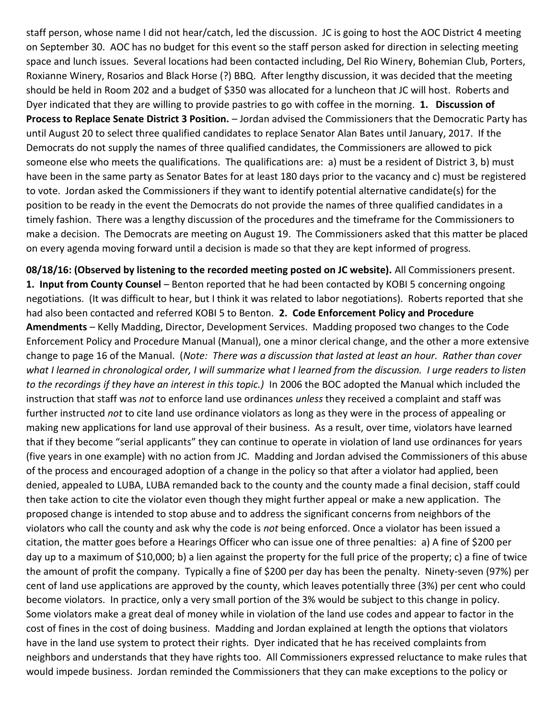staff person, whose name I did not hear/catch, led the discussion. JC is going to host the AOC District 4 meeting on September 30. AOC has no budget for this event so the staff person asked for direction in selecting meeting space and lunch issues. Several locations had been contacted including, Del Rio Winery, Bohemian Club, Porters, Roxianne Winery, Rosarios and Black Horse (?) BBQ. After lengthy discussion, it was decided that the meeting should be held in Room 202 and a budget of \$350 was allocated for a luncheon that JC will host. Roberts and Dyer indicated that they are willing to provide pastries to go with coffee in the morning. **1. Discussion of Process to Replace Senate District 3 Position.** – Jordan advised the Commissioners that the Democratic Party has until August 20 to select three qualified candidates to replace Senator Alan Bates until January, 2017. If the Democrats do not supply the names of three qualified candidates, the Commissioners are allowed to pick someone else who meets the qualifications. The qualifications are: a) must be a resident of District 3, b) must have been in the same party as Senator Bates for at least 180 days prior to the vacancy and c) must be registered to vote. Jordan asked the Commissioners if they want to identify potential alternative candidate(s) for the position to be ready in the event the Democrats do not provide the names of three qualified candidates in a timely fashion. There was a lengthy discussion of the procedures and the timeframe for the Commissioners to make a decision. The Democrats are meeting on August 19. The Commissioners asked that this matter be placed on every agenda moving forward until a decision is made so that they are kept informed of progress.

**08/18/16: (Observed by listening to the recorded meeting posted on JC website).** All Commissioners present. **1. Input from County Counsel** – Benton reported that he had been contacted by KOBI 5 concerning ongoing negotiations. (It was difficult to hear, but I think it was related to labor negotiations). Roberts reported that she had also been contacted and referred KOBI 5 to Benton. **2. Code Enforcement Policy and Procedure Amendments** – Kelly Madding, Director, Development Services. Madding proposed two changes to the Code Enforcement Policy and Procedure Manual (Manual), one a minor clerical change, and the other a more extensive change to page 16 of the Manual. (*Note: There was a discussion that lasted at least an hour. Rather than cover what I learned in chronological order, I will summarize what I learned from the discussion. I urge readers to listen to the recordings if they have an interest in this topic.)* In 2006 the BOC adopted the Manual which included the instruction that staff was *not* to enforce land use ordinances *unless* they received a complaint and staff was further instructed *not* to cite land use ordinance violators as long as they were in the process of appealing or making new applications for land use approval of their business. As a result, over time, violators have learned that if they become "serial applicants" they can continue to operate in violation of land use ordinances for years (five years in one example) with no action from JC. Madding and Jordan advised the Commissioners of this abuse of the process and encouraged adoption of a change in the policy so that after a violator had applied, been denied, appealed to LUBA, LUBA remanded back to the county and the county made a final decision, staff could then take action to cite the violator even though they might further appeal or make a new application. The proposed change is intended to stop abuse and to address the significant concerns from neighbors of the violators who call the county and ask why the code is *not* being enforced. Once a violator has been issued a citation, the matter goes before a Hearings Officer who can issue one of three penalties: a) A fine of \$200 per day up to a maximum of \$10,000; b) a lien against the property for the full price of the property; c) a fine of twice the amount of profit the company. Typically a fine of \$200 per day has been the penalty. Ninety-seven (97%) per cent of land use applications are approved by the county, which leaves potentially three (3%) per cent who could become violators. In practice, only a very small portion of the 3% would be subject to this change in policy. Some violators make a great deal of money while in violation of the land use codes and appear to factor in the cost of fines in the cost of doing business. Madding and Jordan explained at length the options that violators have in the land use system to protect their rights. Dyer indicated that he has received complaints from neighbors and understands that they have rights too. All Commissioners expressed reluctance to make rules that would impede business. Jordan reminded the Commissioners that they can make exceptions to the policy or